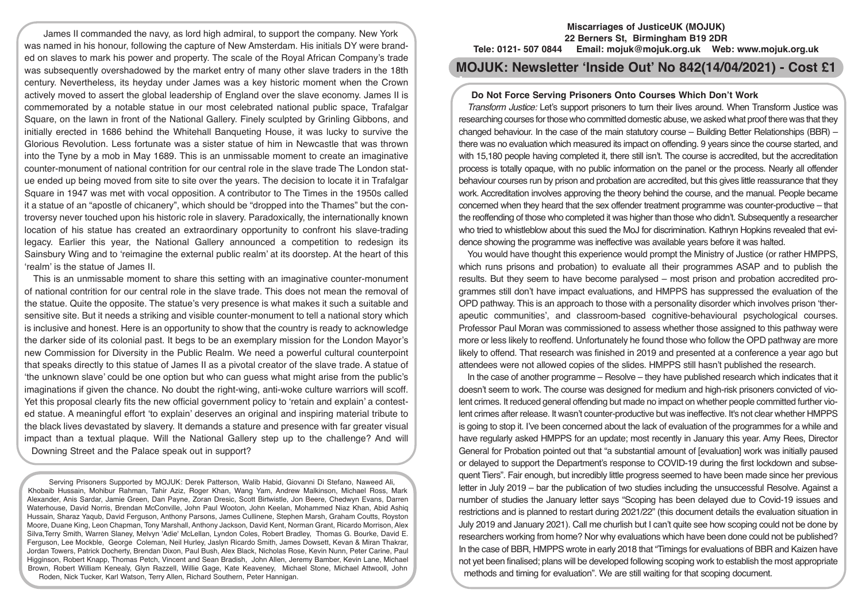James II commanded the navy, as lord high admiral, to support the company. New York was named in his honour, following the capture of New Amsterdam. His initials DY were branded on slaves to mark his power and property. The scale of the Royal African Company's trade was subsequently overshadowed by the market entry of many other slave traders in the 18th century. Nevertheless, its heyday under James was a key historic moment when the Crown actively moved to assert the global leadership of England over the slave economy. James II is commemorated by a notable statue in our most celebrated national public space, Trafalgar Square, on the lawn in front of the National Gallery. Finely sculpted by Grinling Gibbons, and initially erected in 1686 behind the Whitehall Banqueting House, it was lucky to survive the Glorious Revolution. Less fortunate was a sister statue of him in Newcastle that was thrown into the Tyne by a mob in May 1689. This is an unmissable moment to create an imaginative counter-monument of national contrition for our central role in the slave trade The London statue ended up being moved from site to site over the years. The decision to locate it in Trafalgar Square in 1947 was met with vocal opposition. A contributor to The Times in the 1950s called it a statue of an "apostle of chicanery", which should be "dropped into the Thames" but the controversy never touched upon his historic role in slavery. Paradoxically, the internationally known location of his statue has created an extraordinary opportunity to confront his slave-trading legacy. Earlier this year, the National Gallery announced a competition to redesign its Sainsbury Wing and to 'reimagine the external public realm' at its doorstep. At the heart of this 'realm' is the statue of James II.

This is an unmissable moment to share this setting with an imaginative counter-monument of national contrition for our central role in the slave trade. This does not mean the removal of the statue. Quite the opposite. The statue's very presence is what makes it such a suitable and sensitive site. But it needs a striking and visible counter-monument to tell a national story which is inclusive and honest. Here is an opportunity to show that the country is ready to acknowledge the darker side of its colonial past. It begs to be an exemplary mission for the London Mayor's new Commission for Diversity in the Public Realm. We need a powerful cultural counterpoint that speaks directly to this statue of James II as a pivotal creator of the slave trade. A statue of 'the unknown slave' could be one option but who can guess what might arise from the public's imaginations if given the chance. No doubt the right-wing, anti-woke culture warriors will scoff. Yet this proposal clearly fits the new official government policy to 'retain and explain' a contested statue. A meaningful effort 'to explain' deserves an original and inspiring material tribute to the black lives devastated by slavery. It demands a stature and presence with far greater visual impact than a textual plaque. Will the National Gallery step up to the challenge? And will Downing Street and the Palace speak out in support?

Serving Prisoners Supported by MOJUK: Derek Patterson, Walib Habid, Giovanni Di Stefano, Naweed Ali, Khobaib Hussain, Mohibur Rahman, Tahir Aziz, Roger Khan, Wang Yam, Andrew Malkinson, Michael Ross, Mark Alexander, Anis Sardar, Jamie Green, Dan Payne, Zoran Dresic, Scott Birtwistle, Jon Beere, Chedwyn Evans, Darren Waterhouse, David Norris, Brendan McConville, John Paul Wooton, John Keelan, Mohammed Niaz Khan, Abid Ashiq Hussain, Sharaz Yaqub, David Ferguson, Anthony Parsons, James Cullinene, Stephen Marsh, Graham Coutts, Royston Moore, Duane King, Leon Chapman, Tony Marshall, Anthony Jackson, David Kent, Norman Grant, Ricardo Morrison, Alex Silva,Terry Smith, Warren Slaney, Melvyn 'Adie' McLellan, Lyndon Coles, Robert Bradley, Thomas G. Bourke, David E. Ferguson, Lee Mockble, George Coleman, Neil Hurley, Jaslyn Ricardo Smith, James Dowsett, Kevan & Miran Thakrar, Jordan Towers, Patrick Docherty, Brendan Dixon, Paul Bush, Alex Black, Nicholas Rose, Kevin Nunn, Peter Carine, Paul Higginson, Robert Knapp, Thomas Petch, Vincent and Sean Bradish, John Allen, Jeremy Bamber, Kevin Lane, Michael Brown, Robert William Kenealy, Glyn Razzell, Willie Gage, Kate Keaveney, Michael Stone, Michael Attwooll, John Roden, Nick Tucker, Karl Watson, Terry Allen, Richard Southern, Peter Hannigan.

### **Miscarriages of JusticeUK (MOJUK) 22 Berners St, Birmingham B19 2DR Tele: 0121- 507 0844 Email: mojuk@mojuk.org.uk Web: www.mojuk.org.uk**

# **MOJUK: Newsletter 'Inside Out' No 842(14/04/2021) - Cost £1**

# **Do Not Force Serving Prisoners Onto Courses Which Don't Work**

*Transform Justice:* Let's support prisoners to turn their lives around. When Transform Justice was researching courses for those who committed domestic abuse, we asked what proof there was that they changed behaviour. In the case of the main statutory course – Building Better Relationships (BBR) – there was no evaluation which measured its impact on offending. 9 years since the course started, and with 15,180 people having completed it, there still isn't. The course is accredited, but the accreditation process is totally opaque, with no public information on the panel or the process. Nearly all offender behaviour courses run by prison and probation are accredited, but this gives little reassurance that they work. Accreditation involves approving the theory behind the course, and the manual. People became concerned when they heard that the sex offender treatment programme was counter-productive – that the reoffending of those who completed it was higher than those who didn't. Subsequently a researcher who tried to whistleblow about this sued the MoJ for discrimination. Kathryn Hopkins revealed that evidence showing the programme was ineffective was available years before it was halted.

You would have thought this experience would prompt the Ministry of Justice (or rather HMPPS, which runs prisons and probation) to evaluate all their programmes ASAP and to publish the results. But they seem to have become paralysed – most prison and probation accredited programmes still don't have impact evaluations, and HMPPS has suppressed the evaluation of the OPD pathway. This is an approach to those with a personality disorder which involves prison 'therapeutic communities', and classroom-based cognitive-behavioural psychological courses. Professor Paul Moran was commissioned to assess whether those assigned to this pathway were more or less likely to reoffend. Unfortunately he found those who follow the OPD pathway are more likely to offend. That research was finished in 2019 and presented at a conference a year ago but attendees were not allowed copies of the slides. HMPPS still hasn't published the research.

In the case of another programme – Resolve – they have published research which indicates that it doesn't seem to work. The course was designed for medium and high-risk prisoners convicted of violent crimes. It reduced general offending but made no impact on whether people committed further violent crimes after release. It wasn't counter-productive but was ineffective. It's not clear whether HMPPS is going to stop it. I've been concerned about the lack of evaluation of the programmes for a while and have regularly asked HMPPS for an update; most recently in January this year. Amy Rees, Director General for Probation pointed out that "a substantial amount of [evaluation] work was initially paused or delayed to support the Department's response to COVID-19 during the first lockdown and subsequent Tiers". Fair enough, but incredibly little progress seemed to have been made since her previous letter in July 2019 – bar the publication of two studies including the unsuccessful Resolve. Against a number of studies the January letter says "Scoping has been delayed due to Covid-19 issues and restrictions and is planned to restart during 2021/22" (this document details the evaluation situation in July 2019 and January 2021). Call me churlish but I can't quite see how scoping could not be done by researchers working from home? Nor why evaluations which have been done could not be published? In the case of BBR, HMPPS wrote in early 2018 that "Timings for evaluations of BBR and Kaizen have not yet been finalised; plans will be developed following scoping work to establish the most appropriate methods and timing for evaluation". We are still waiting for that scoping document.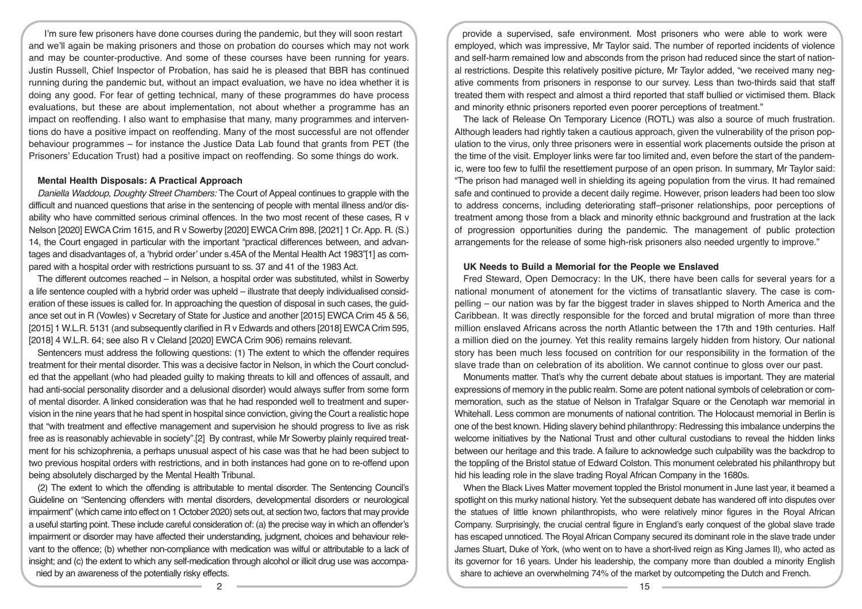I'm sure few prisoners have done courses during the pandemic, but they will soon restart and we'll again be making prisoners and those on probation do courses which may not work and may be counter-productive. And some of these courses have been running for years. Justin Russell, Chief Inspector of Probation, has said he is pleased that BBR has continued running during the pandemic but, without an impact evaluation, we have no idea whether it is doing any good. For fear of getting technical, many of these programmes do have process evaluations, but these are about implementation, not about whether a programme has an impact on reoffending. I also want to emphasise that many, many programmes and interventions do have a positive impact on reoffending. Many of the most successful are not offender behaviour programmes – for instance the Justice Data Lab found that grants from PET (the Prisoners' Education Trust) had a positive impact on reoffending. So some things do work.

## **Mental Health Disposals: A Practical Approach**

*Daniella Waddoup, Doughty Street Chambers:* The Court of Appeal continues to grapple with the difficult and nuanced questions that arise in the sentencing of people with mental illness and/or disability who have committed serious criminal offences. In the two most recent of these cases, R v Nelson [2020] EWCA Crim 1615, and R v Sowerby [2020] EWCA Crim 898, [2021] 1 Cr. App. R. (S.) 14, the Court engaged in particular with the important "practical differences between, and advantages and disadvantages of, a 'hybrid order' under s.45A of the Mental Health Act 1983"[1] as compared with a hospital order with restrictions pursuant to ss. 37 and 41 of the 1983 Act.

The different outcomes reached – in Nelson, a hospital order was substituted, whilst in Sowerby a life sentence coupled with a hybrid order was upheld – illustrate that deeply individualised consideration of these issues is called for. In approaching the question of disposal in such cases, the guidance set out in R (Vowles) v Secretary of State for Justice and another [2015] EWCA Crim 45 & 56, [2015] 1 W.L.R. 5131 (and subsequently clarified in R v Edwards and others [2018] EWCA Crim 595, [2018] 4 W.L.R. 64; see also R v Cleland [2020] EWCA Crim 906) remains relevant.

Sentencers must address the following questions: (1) The extent to which the offender requires treatment for their mental disorder. This was a decisive factor in Nelson, in which the Court concluded that the appellant (who had pleaded guilty to making threats to kill and offences of assault, and had anti-social personality disorder and a delusional disorder) would always suffer from some form of mental disorder. A linked consideration was that he had responded well to treatment and supervision in the nine years that he had spent in hospital since conviction, giving the Court a realistic hope that "with treatment and effective management and supervision he should progress to live as risk free as is reasonably achievable in society".[2] By contrast, while Mr Sowerby plainly required treatment for his schizophrenia, a perhaps unusual aspect of his case was that he had been subject to two previous hospital orders with restrictions, and in both instances had gone on to re-offend upon being absolutely discharged by the Mental Health Tribunal.

(2) The extent to which the offending is attributable to mental disorder. The Sentencing Council's Guideline on "Sentencing offenders with mental disorders, developmental disorders or neurological impairment" (which came into effect on 1 October 2020) sets out, at section two, factors that may provide a useful starting point. These include careful consideration of: (a) the precise way in which an offender's impairment or disorder may have affected their understanding, judgment, choices and behaviour relevant to the offence; (b) whether non-compliance with medication was wilful or attributable to a lack of insight; and (c) the extent to which any self-medication through alcohol or illicit drug use was accompanied by an awareness of the potentially risky effects.

provide a supervised, safe environment. Most prisoners who were able to work were employed, which was impressive, Mr Taylor said. The number of reported incidents of violence and self-harm remained low and absconds from the prison had reduced since the start of national restrictions. Despite this relatively positive picture, Mr Taylor added, "we received many negative comments from prisoners in response to our survey. Less than two-thirds said that staff treated them with respect and almost a third reported that staff bullied or victimised them. Black and minority ethnic prisoners reported even poorer perceptions of treatment."

The lack of Release On Temporary Licence (ROTL) was also a source of much frustration. Although leaders had rightly taken a cautious approach, given the vulnerability of the prison population to the virus, only three prisoners were in essential work placements outside the prison at the time of the visit. Employer links were far too limited and, even before the start of the pandemic, were too few to fulfil the resettlement purpose of an open prison. In summary, Mr Taylor said: "The prison had managed well in shielding its ageing population from the virus. It had remained safe and continued to provide a decent daily regime. However, prison leaders had been too slow to address concerns, including deteriorating staff–prisoner relationships, poor perceptions of treatment among those from a black and minority ethnic background and frustration at the lack of progression opportunities during the pandemic. The management of public protection arrangements for the release of some high-risk prisoners also needed urgently to improve."

## **UK Needs to Build a Memorial for the People we Enslaved**

Fred Steward, Open Democracy: In the UK, there have been calls for several years for a national monument of atonement for the victims of transatlantic slavery. The case is compelling – our nation was by far the biggest trader in slaves shipped to North America and the Caribbean. It was directly responsible for the forced and brutal migration of more than three million enslaved Africans across the north Atlantic between the 17th and 19th centuries. Half a million died on the journey. Yet this reality remains largely hidden from history. Our national story has been much less focused on contrition for our responsibility in the formation of the slave trade than on celebration of its abolition. We cannot continue to gloss over our past.

Monuments matter. That's why the current debate about statues is important. They are material expressions of memory in the public realm. Some are potent national symbols of celebration or commemoration, such as the statue of Nelson in Trafalgar Square or the Cenotaph war memorial in Whitehall. Less common are monuments of national contrition. The Holocaust memorial in Berlin is one of the best known. Hiding slavery behind philanthropy: Redressing this imbalance underpins the welcome initiatives by the National Trust and other cultural custodians to reveal the hidden links between our heritage and this trade. A failure to acknowledge such culpability was the backdrop to the toppling of the Bristol statue of Edward Colston. This monument celebrated his philanthropy but hid his leading role in the slave trading Royal African Company in the 1680s.

When the Black Lives Matter movement toppled the Bristol monument in June last year, it beamed a spotlight on this murky national history. Yet the subsequent debate has wandered off into disputes over the statues of little known philanthropists, who were relatively minor figures in the Royal African Company. Surprisingly, the crucial central figure in England's early conquest of the global slave trade has escaped unnoticed. The Royal African Company secured its dominant role in the slave trade under James Stuart, Duke of York, (who went on to have a short-lived reign as King James II), who acted as its governor for 16 years. Under his leadership, the company more than doubled a minority English share to achieve an overwhelming 74% of the market by outcompeting the Dutch and French.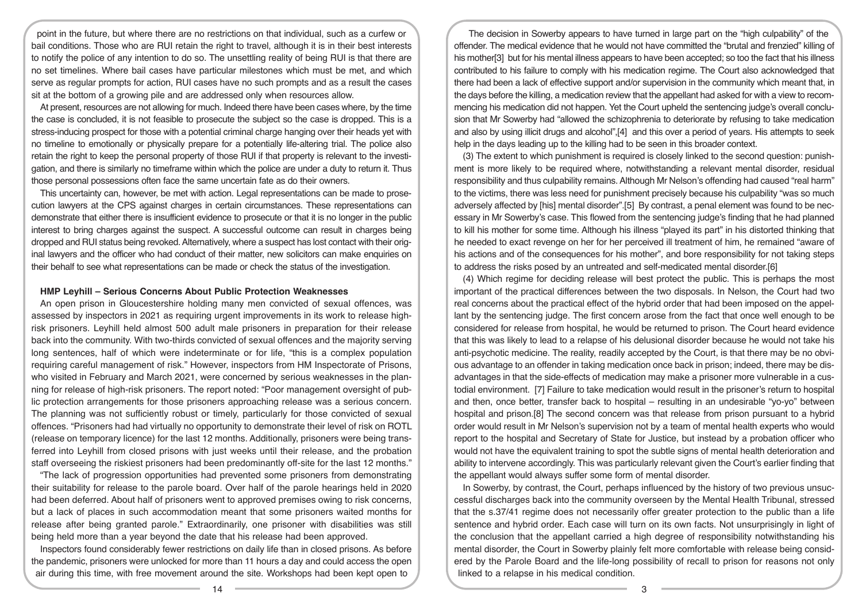point in the future, but where there are no restrictions on that individual, such as a curfew or bail conditions. Those who are RUI retain the right to travel, although it is in their best interests to notify the police of any intention to do so. The unsettling reality of being RUI is that there are no set timelines. Where bail cases have particular milestones which must be met, and which serve as regular prompts for action, RUI cases have no such prompts and as a result the cases sit at the bottom of a growing pile and are addressed only when resources allow.

At present, resources are not allowing for much. Indeed there have been cases where, by the time the case is concluded, it is not feasible to prosecute the subject so the case is dropped. This is a stress-inducing prospect for those with a potential criminal charge hanging over their heads yet with no timeline to emotionally or physically prepare for a potentially life-altering trial. The police also retain the right to keep the personal property of those RUI if that property is relevant to the investigation, and there is similarly no timeframe within which the police are under a duty to return it. Thus those personal possessions often face the same uncertain fate as do their owners.

This uncertainty can, however, be met with action. Legal representations can be made to prosecution lawyers at the CPS against charges in certain circumstances. These representations can demonstrate that either there is insufficient evidence to prosecute or that it is no longer in the public interest to bring charges against the suspect. A successful outcome can result in charges being dropped and RUI status being revoked. Alternatively, where a suspect has lost contact with their original lawyers and the officer who had conduct of their matter, new solicitors can make enquiries on their behalf to see what representations can be made or check the status of the investigation.

## **HMP Leyhill – Serious Concerns About Public Protection Weaknesses**

An open prison in Gloucestershire holding many men convicted of sexual offences, was assessed by inspectors in 2021 as requiring urgent improvements in its work to release highrisk prisoners. Leyhill held almost 500 adult male prisoners in preparation for their release back into the community. With two-thirds convicted of sexual offences and the majority serving long sentences, half of which were indeterminate or for life, "this is a complex population requiring careful management of risk." However, inspectors from HM Inspectorate of Prisons, who visited in February and March 2021, were concerned by serious weaknesses in the planning for release of high-risk prisoners. The report noted: "Poor management oversight of public protection arrangements for those prisoners approaching release was a serious concern. The planning was not sufficiently robust or timely, particularly for those convicted of sexual offences. "Prisoners had had virtually no opportunity to demonstrate their level of risk on ROTL (release on temporary licence) for the last 12 months. Additionally, prisoners were being transferred into Leyhill from closed prisons with just weeks until their release, and the probation staff overseeing the riskiest prisoners had been predominantly off-site for the last 12 months."

"The lack of progression opportunities had prevented some prisoners from demonstrating their suitability for release to the parole board. Over half of the parole hearings held in 2020 had been deferred. About half of prisoners went to approved premises owing to risk concerns, but a lack of places in such accommodation meant that some prisoners waited months for release after being granted parole." Extraordinarily, one prisoner with disabilities was still being held more than a year beyond the date that his release had been approved.

Inspectors found considerably fewer restrictions on daily life than in closed prisons. As before the pandemic, prisoners were unlocked for more than 11 hours a day and could access the open air during this time, with free movement around the site. Workshops had been kept open to

The decision in Sowerby appears to have turned in large part on the "high culpability" of the offender. The medical evidence that he would not have committed the "brutal and frenzied" killing of his mother[3] but for his mental illness appears to have been accepted; so too the fact that his illness contributed to his failure to comply with his medication regime. The Court also acknowledged that there had been a lack of effective support and/or supervision in the community which meant that, in the days before the killing, a medication review that the appellant had asked for with a view to recommencing his medication did not happen. Yet the Court upheld the sentencing judge's overall conclusion that Mr Sowerby had "allowed the schizophrenia to deteriorate by refusing to take medication and also by using illicit drugs and alcohol",[4] and this over a period of years. His attempts to seek help in the days leading up to the killing had to be seen in this broader context.

(3) The extent to which punishment is required is closely linked to the second question: punishment is more likely to be required where, notwithstanding a relevant mental disorder, residual responsibility and thus culpability remains. Although Mr Nelson's offending had caused "real harm" to the victims, there was less need for punishment precisely because his culpability "was so much adversely affected by [his] mental disorder".[5] By contrast, a penal element was found to be necessary in Mr Sowerby's case. This flowed from the sentencing judge's finding that he had planned to kill his mother for some time. Although his illness "played its part" in his distorted thinking that he needed to exact revenge on her for her perceived ill treatment of him, he remained "aware of his actions and of the consequences for his mother", and bore responsibility for not taking steps to address the risks posed by an untreated and self-medicated mental disorder.[6]

(4) Which regime for deciding release will best protect the public. This is perhaps the most important of the practical differences between the two disposals. In Nelson, the Court had two real concerns about the practical effect of the hybrid order that had been imposed on the appellant by the sentencing judge. The first concern arose from the fact that once well enough to be considered for release from hospital, he would be returned to prison. The Court heard evidence that this was likely to lead to a relapse of his delusional disorder because he would not take his anti-psychotic medicine. The reality, readily accepted by the Court, is that there may be no obvious advantage to an offender in taking medication once back in prison; indeed, there may be disadvantages in that the side-effects of medication may make a prisoner more vulnerable in a custodial environment. [7] Failure to take medication would result in the prisoner's return to hospital and then, once better, transfer back to hospital – resulting in an undesirable "yo-yo" between hospital and prison.[8] The second concern was that release from prison pursuant to a hybrid order would result in Mr Nelson's supervision not by a team of mental health experts who would report to the hospital and Secretary of State for Justice, but instead by a probation officer who would not have the equivalent training to spot the subtle signs of mental health deterioration and ability to intervene accordingly. This was particularly relevant given the Court's earlier finding that the appellant would always suffer some form of mental disorder.

In Sowerby, by contrast, the Court, perhaps influenced by the history of two previous unsuccessful discharges back into the community overseen by the Mental Health Tribunal, stressed that the s.37/41 regime does not necessarily offer greater protection to the public than a life sentence and hybrid order. Each case will turn on its own facts. Not unsurprisingly in light of the conclusion that the appellant carried a high degree of responsibility notwithstanding his mental disorder, the Court in Sowerby plainly felt more comfortable with release being considered by the Parole Board and the life-long possibility of recall to prison for reasons not only linked to a relapse in his medical condition.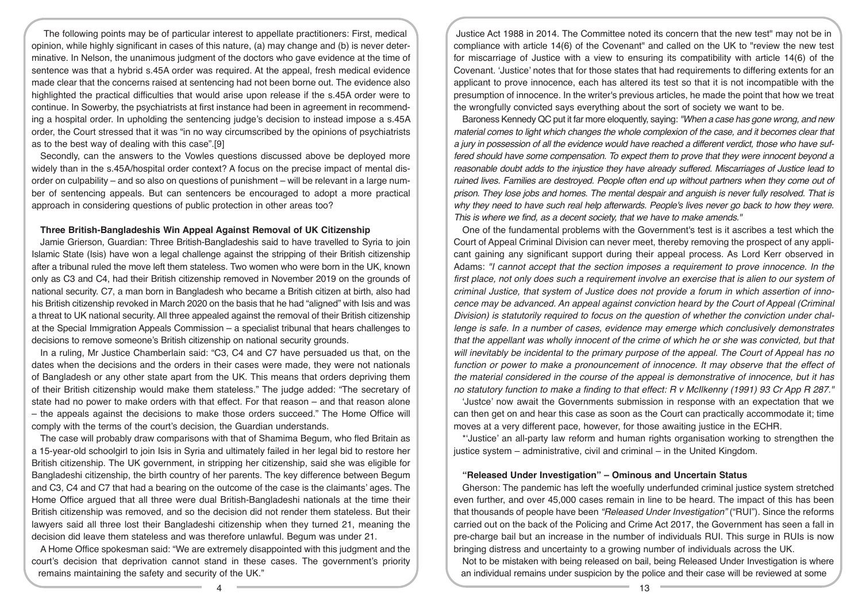The following points may be of particular interest to appellate practitioners: First, medical opinion, while highly significant in cases of this nature, (a) may change and (b) is never determinative. In Nelson, the unanimous judgment of the doctors who gave evidence at the time of sentence was that a hybrid s.45A order was required. At the appeal, fresh medical evidence made clear that the concerns raised at sentencing had not been borne out. The evidence also highlighted the practical difficulties that would arise upon release if the s.45A order were to continue. In Sowerby, the psychiatrists at first instance had been in agreement in recommending a hospital order. In upholding the sentencing judge's decision to instead impose a s.45A order, the Court stressed that it was "in no way circumscribed by the opinions of psychiatrists as to the best way of dealing with this case".[9]

Secondly, can the answers to the Vowles questions discussed above be deployed more widely than in the s.45A/hospital order context? A focus on the precise impact of mental disorder on culpability – and so also on questions of punishment – will be relevant in a large number of sentencing appeals. But can sentencers be encouraged to adopt a more practical approach in considering questions of public protection in other areas too?

#### **Three British-Bangladeshis Win Appeal Against Removal of UK Citizenship**

Jamie Grierson, Guardian: Three British-Bangladeshis said to have travelled to Syria to join Islamic State (Isis) have won a legal challenge against the stripping of their British citizenship after a tribunal ruled the move left them stateless. Two women who were born in the UK, known only as C3 and C4, had their British citizenship removed in November 2019 on the grounds of national security. C7, a man born in Bangladesh who became a British citizen at birth, also had his British citizenship revoked in March 2020 on the basis that he had "aligned" with Isis and was a threat to UK national security. All three appealed against the removal of their British citizenship at the Special Immigration Appeals Commission – a specialist tribunal that hears challenges to decisions to remove someone's British citizenship on national security grounds.

In a ruling, Mr Justice Chamberlain said: "C3, C4 and C7 have persuaded us that, on the dates when the decisions and the orders in their cases were made, they were not nationals of Bangladesh or any other state apart from the UK. This means that orders depriving them of their British citizenship would make them stateless." The judge added: "The secretary of state had no power to make orders with that effect. For that reason – and that reason alone – the appeals against the decisions to make those orders succeed." The Home Office will comply with the terms of the court's decision, the Guardian understands.

The case will probably draw comparisons with that of Shamima Begum, who fled Britain as a 15-year-old schoolgirl to join Isis in Syria and ultimately failed in her legal bid to restore her British citizenship. The UK government, in stripping her citizenship, said she was eligible for Bangladeshi citizenship, the birth country of her parents. The key difference between Begum and C3, C4 and C7 that had a bearing on the outcome of the case is the claimants' ages. The Home Office argued that all three were dual British-Bangladeshi nationals at the time their British citizenship was removed, and so the decision did not render them stateless. But their lawyers said all three lost their Bangladeshi citizenship when they turned 21, meaning the decision did leave them stateless and was therefore unlawful. Begum was under 21.

A Home Office spokesman said: "We are extremely disappointed with this judgment and the court's decision that deprivation cannot stand in these cases. The government's priority remains maintaining the safety and security of the UK."

Justice Act 1988 in 2014. The Committee noted its concern that the new test" may not be in compliance with article 14(6) of the Covenant" and called on the UK to "review the new test for miscarriage of Justice with a view to ensuring its compatibility with article 14(6) of the Covenant. 'Justice' notes that for those states that had requirements to differing extents for an applicant to prove innocence, each has altered its test so that it is not incompatible with the presumption of innocence. In the writer's previous articles, he made the point that how we treat the wrongfully convicted says everything about the sort of society we want to be.

Baroness Kennedy QC put it far more eloquently, saying: *"When a case has gone wrong, and new material comes to light which changes the whole complexion of the case, and it becomes clear that a jury in possession of all the evidence would have reached a different verdict, those who have suffered should have some compensation. To expect them to prove that they were innocent beyond a reasonable doubt adds to the injustice they have already suffered. Miscarriages of Justice lead to ruined lives. Families are destroyed. People often end up without partners when they come out of prison. They lose jobs and homes. The mental despair and anguish is never fully resolved. That is why they need to have such real help afterwards. People's lives never go back to how they were. This is where we find, as a decent society, that we have to make amends."*

One of the fundamental problems with the Government's test is it ascribes a test which the Court of Appeal Criminal Division can never meet, thereby removing the prospect of any applicant gaining any significant support during their appeal process. As Lord Kerr observed in Adams: *"I cannot accept that the section imposes a requirement to prove innocence. In the first place, not only does such a requirement involve an exercise that is alien to our system of criminal Justice, that system of Justice does not provide a forum in which assertion of innocence may be advanced. An appeal against conviction heard by the Court of Appeal (Criminal Division) is statutorily required to focus on the question of whether the conviction under challenge is safe. In a number of cases, evidence may emerge which conclusively demonstrates that the appellant was wholly innocent of the crime of which he or she was convicted, but that will inevitably be incidental to the primary purpose of the appeal. The Court of Appeal has no function or power to make a pronouncement of innocence. It may observe that the effect of the material considered in the course of the appeal is demonstrative of innocence, but it has no statutory function to make a finding to that effect: R v McIlkenny (1991) 93 Cr App R 287."*

'Justce' now await the Governments submission in response with an expectation that we can then get on and hear this case as soon as the Court can practically accommodate it; time moves at a very different pace, however, for those awaiting justice in the ECHR.

\*'Justice' an all-party law reform and human rights organisation working to strengthen the justice system – administrative, civil and criminal – in the United Kingdom.

#### **"Released Under Investigation" – Ominous and Uncertain Status**

Gherson: The pandemic has left the woefully underfunded criminal justice system stretched even further, and over 45,000 cases remain in line to be heard. The impact of this has been that thousands of people have been *"Released Under Investigation"* ("RUI"). Since the reforms carried out on the back of the Policing and Crime Act 2017, the Government has seen a fall in pre-charge bail but an increase in the number of individuals RUI. This surge in RUIs is now bringing distress and uncertainty to a growing number of individuals across the UK.

Not to be mistaken with being released on bail, being Released Under Investigation is where an individual remains under suspicion by the police and their case will be reviewed at some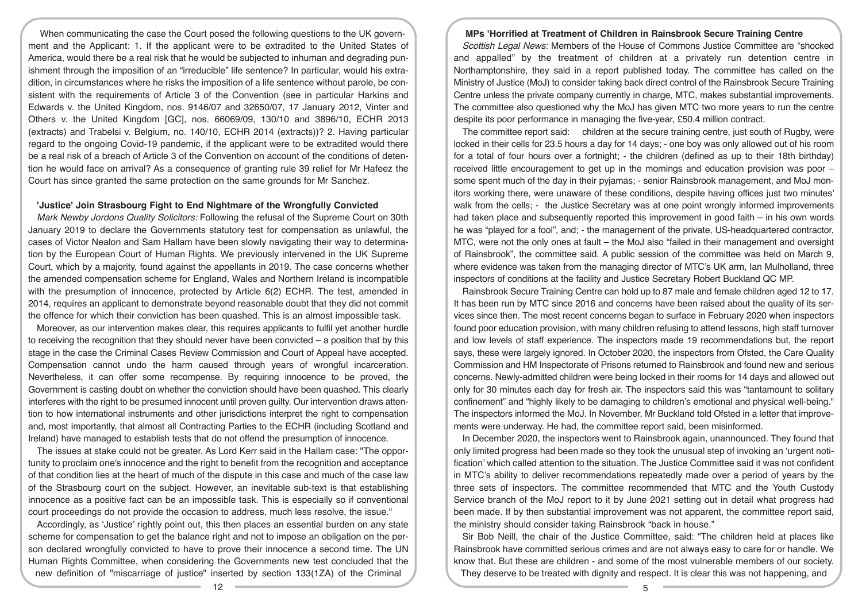When communicating the case the Court posed the following questions to the UK government and the Applicant: 1. If the applicant were to be extradited to the United States of America, would there be a real risk that he would be subjected to inhuman and degrading punishment through the imposition of an "irreducible" life sentence? In particular, would his extradition, in circumstances where he risks the imposition of a life sentence without parole, be consistent with the requirements of Article 3 of the Convention (see in particular Harkins and Edwards v. the United Kingdom, nos. 9146/07 and 32650/07, 17 January 2012, Vinter and Others v. the United Kingdom [GC], nos. 66069/09, 130/10 and 3896/10, ECHR 2013 (extracts) and Trabelsi v. Belgium, no. 140/10, ECHR 2014 (extracts))? 2. Having particular regard to the ongoing Covid-19 pandemic, if the applicant were to be extradited would there be a real risk of a breach of Article 3 of the Convention on account of the conditions of detention he would face on arrival? As a consequence of granting rule 39 relief for Mr Hafeez the Court has since granted the same protection on the same grounds for Mr Sanchez.

### **'Justice' Join Strasbourg Fight to End Nightmare of the Wrongfully Convicted**

*Mark Newby Jordons Quality Solicitors:* Following the refusal of the Supreme Court on 30th January 2019 to declare the Governments statutory test for compensation as unlawful, the cases of Victor Nealon and Sam Hallam have been slowly navigating their way to determination by the European Court of Human Rights. We previously intervened in the UK Supreme Court, which by a majority, found against the appellants in 2019. The case concerns whether the amended compensation scheme for England, Wales and Northern Ireland is incompatible with the presumption of innocence, protected by Article 6(2) ECHR. The test, amended in 2014, requires an applicant to demonstrate beyond reasonable doubt that they did not commit the offence for which their conviction has been quashed. This is an almost impossible task.

Moreover, as our intervention makes clear, this requires applicants to fulfil yet another hurdle to receiving the recognition that they should never have been convicted – a position that by this stage in the case the Criminal Cases Review Commission and Court of Appeal have accepted. Compensation cannot undo the harm caused through years of wrongful incarceration. Nevertheless, it can offer some recompense. By requiring innocence to be proved, the Government is casting doubt on whether the conviction should have been quashed. This clearly interferes with the right to be presumed innocent until proven guilty. Our intervention draws attention to how international instruments and other jurisdictions interpret the right to compensation and, most importantly, that almost all Contracting Parties to the ECHR (including Scotland and Ireland) have managed to establish tests that do not offend the presumption of innocence.

The issues at stake could not be greater. As Lord Kerr said in the Hallam case: "The opportunity to proclaim one's innocence and the right to benefit from the recognition and acceptance of that condition lies at the heart of much of the dispute in this case and much of the case law of the Strasbourg court on the subject. However, an inevitable sub-text is that establishing innocence as a positive fact can be an impossible task. This is especially so if conventional court proceedings do not provide the occasion to address, much less resolve, the issue."

Accordingly, as 'Justice' rightly point out, this then places an essential burden on any state scheme for compensation to get the balance right and not to impose an obligation on the person declared wrongfully convicted to have to prove their innocence a second time. The UN Human Rights Committee, when considering the Governments new test concluded that the new definition of "miscarriage of justice" inserted by section 133(1ZA) of the Criminal

#### **MPs 'Horrified at Treatment of Children in Rainsbrook Secure Training Centre**

*Scottish Legal News:* Members of the House of Commons Justice Committee are "shocked and appalled" by the treatment of children at a privately run detention centre in Northamptonshire, they said in a report published today. The committee has called on the Ministry of Justice (MoJ) to consider taking back direct control of the Rainsbrook Secure Training Centre unless the private company currently in charge, MTC, makes substantial improvements. The committee also questioned why the MoJ has given MTC two more years to run the centre despite its poor performance in managing the five-year, £50.4 million contract.

The committee report said: children at the secure training centre, just south of Rugby, were locked in their cells for 23.5 hours a day for 14 days; - one boy was only allowed out of his room for a total of four hours over a fortnight; - the children (defined as up to their 18th birthday) received little encouragement to get up in the mornings and education provision was poor – some spent much of the day in their pyjamas; - senior Rainsbrook management, and MoJ monitors working there, were unaware of these conditions, despite having offices just two minutes' walk from the cells; - the Justice Secretary was at one point wrongly informed improvements had taken place and subsequently reported this improvement in good faith – in his own words he was "played for a fool", and; - the management of the private, US-headquartered contractor, MTC, were not the only ones at fault – the MoJ also "failed in their management and oversight of Rainsbrook", the committee said. A public session of the committee was held on March 9, where evidence was taken from the managing director of MTC's UK arm, Ian Mulholland, three inspectors of conditions at the facility and Justice Secretary Robert Buckland QC MP.

Rainsbrook Secure Training Centre can hold up to 87 male and female children aged 12 to 17. It has been run by MTC since 2016 and concerns have been raised about the quality of its services since then. The most recent concerns began to surface in February 2020 when inspectors found poor education provision, with many children refusing to attend lessons, high staff turnover and low levels of staff experience. The inspectors made 19 recommendations but, the report says, these were largely ignored. In October 2020, the inspectors from Ofsted, the Care Quality Commission and HM Inspectorate of Prisons returned to Rainsbrook and found new and serious concerns. Newly-admitted children were being locked in their rooms for 14 days and allowed out only for 30 minutes each day for fresh air. The inspectors said this was "tantamount to solitary confinement" and "highly likely to be damaging to children's emotional and physical well-being." The inspectors informed the MoJ. In November, Mr Buckland told Ofsted in a letter that improvements were underway. He had, the committee report said, been misinformed.

In December 2020, the inspectors went to Rainsbrook again, unannounced. They found that only limited progress had been made so they took the unusual step of invoking an 'urgent notification' which called attention to the situation. The Justice Committee said it was not confident in MTC's ability to deliver recommendations repeatedly made over a period of years by the three sets of inspectors. The committee recommended that MTC and the Youth Custody Service branch of the MoJ report to it by June 2021 setting out in detail what progress had been made. If by then substantial improvement was not apparent, the committee report said, the ministry should consider taking Rainsbrook "back in house."

Sir Bob Neill, the chair of the Justice Committee, said: "The children held at places like Rainsbrook have committed serious crimes and are not always easy to care for or handle. We know that. But these are children - and some of the most vulnerable members of our society. They deserve to be treated with dignity and respect. It is clear this was not happening, and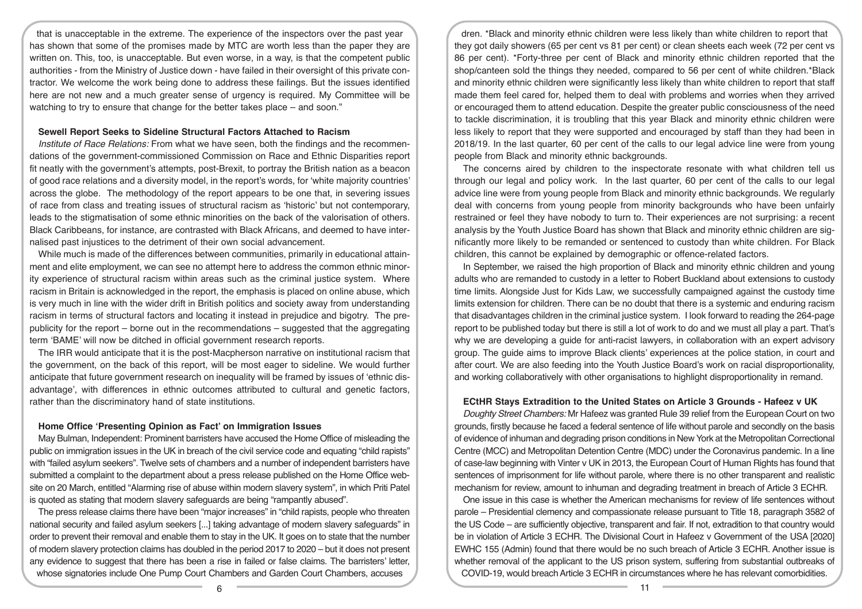that is unacceptable in the extreme. The experience of the inspectors over the past year has shown that some of the promises made by MTC are worth less than the paper they are written on. This, too, is unacceptable. But even worse, in a way, is that the competent public authorities - from the Ministry of Justice down - have failed in their oversight of this private contractor. We welcome the work being done to address these failings. But the issues identified here are not new and a much greater sense of urgency is required. My Committee will be watching to try to ensure that change for the better takes place – and soon."

## **Sewell Report Seeks to Sideline Structural Factors Attached to Racism**

*Institute of Race Relations:* From what we have seen, both the findings and the recommendations of the government-commissioned Commission on Race and Ethnic Disparities report fit neatly with the government's attempts, post-Brexit, to portray the British nation as a beacon of good race relations and a diversity model, in the report's words, for 'white majority countries' across the globe. The methodology of the report appears to be one that, in severing issues of race from class and treating issues of structural racism as 'historic' but not contemporary, leads to the stigmatisation of some ethnic minorities on the back of the valorisation of others. Black Caribbeans, for instance, are contrasted with Black Africans, and deemed to have internalised past injustices to the detriment of their own social advancement.

While much is made of the differences between communities, primarily in educational attainment and elite employment, we can see no attempt here to address the common ethnic minority experience of structural racism within areas such as the criminal justice system. Where racism in Britain is acknowledged in the report, the emphasis is placed on online abuse, which is very much in line with the wider drift in British politics and society away from understanding racism in terms of structural factors and locating it instead in prejudice and bigotry. The prepublicity for the report – borne out in the recommendations – suggested that the aggregating term 'BAME' will now be ditched in official government research reports.

The IRR would anticipate that it is the post-Macpherson narrative on institutional racism that the government, on the back of this report, will be most eager to sideline. We would further anticipate that future government research on inequality will be framed by issues of 'ethnic disadvantage', with differences in ethnic outcomes attributed to cultural and genetic factors, rather than the discriminatory hand of state institutions.

#### **Home Office 'Presenting Opinion as Fact' on Immigration Issues**

May Bulman, Independent: Prominent barristers have accused the Home Office of misleading the public on immigration issues in the UK in breach of the civil service code and equating "child rapists" with "failed asylum seekers". Twelve sets of chambers and a number of independent barristers have submitted a complaint to the department about a press release published on the Home Office website on 20 March, entitled "Alarming rise of abuse within modern slavery system", in which Priti Patel is quoted as stating that modern slavery safeguards are being "rampantly abused".

The press release claims there have been "major increases" in "child rapists, people who threaten national security and failed asylum seekers [...] taking advantage of modern slavery safeguards" in order to prevent their removal and enable them to stay in the UK. It goes on to state that the number of modern slavery protection claims has doubled in the period 2017 to 2020 – but it does not present any evidence to suggest that there has been a rise in failed or false claims. The barristers' letter, whose signatories include One Pump Court Chambers and Garden Court Chambers, accuses

dren. \*Black and minority ethnic children were less likely than white children to report that they got daily showers (65 per cent vs 81 per cent) or clean sheets each week (72 per cent vs 86 per cent). \*Forty-three per cent of Black and minority ethnic children reported that the shop/canteen sold the things they needed, compared to 56 per cent of white children.\*Black and minority ethnic children were significantly less likely than white children to report that staff made them feel cared for, helped them to deal with problems and worries when they arrived or encouraged them to attend education. Despite the greater public consciousness of the need to tackle discrimination, it is troubling that this year Black and minority ethnic children were less likely to report that they were supported and encouraged by staff than they had been in 2018/19. In the last quarter, 60 per cent of the calls to our legal advice line were from young people from Black and minority ethnic backgrounds.

The concerns aired by children to the inspectorate resonate with what children tell us through our legal and policy work. In the last quarter, 60 per cent of the calls to our legal advice line were from young people from Black and minority ethnic backgrounds. We regularly deal with concerns from young people from minority backgrounds who have been unfairly restrained or feel they have nobody to turn to. Their experiences are not surprising: a recent analysis by the Youth Justice Board has shown that Black and minority ethnic children are significantly more likely to be remanded or sentenced to custody than white children. For Black children, this cannot be explained by demographic or offence-related factors.

In September, we raised the high proportion of Black and minority ethnic children and young adults who are remanded to custody in a letter to Robert Buckland about extensions to custody time limits. Alongside Just for Kids Law, we successfully campaigned against the custody time limits extension for children. There can be no doubt that there is a systemic and enduring racism that disadvantages children in the criminal justice system. I look forward to reading the 264-page report to be published today but there is still a lot of work to do and we must all play a part. That's why we are developing a guide for anti-racist lawyers, in collaboration with an expert advisory group. The guide aims to improve Black clients' experiences at the police station, in court and after court. We are also feeding into the Youth Justice Board's work on racial disproportionality, and working collaboratively with other organisations to highlight disproportionality in remand.

# **ECtHR Stays Extradition to the United States on Article 3 Grounds - Hafeez v UK**

*Doughty Street Chambers:* Mr Hafeez was granted Rule 39 relief from the European Court on two grounds, firstly because he faced a federal sentence of life without parole and secondly on the basis of evidence of inhuman and degrading prison conditions in New York at the Metropolitan Correctional Centre (MCC) and Metropolitan Detention Centre (MDC) under the Coronavirus pandemic. In a line of case-law beginning with Vinter v UK in 2013, the European Court of Human Rights has found that sentences of imprisonment for life without parole, where there is no other transparent and realistic mechanism for review, amount to inhuman and degrading treatment in breach of Article 3 ECHR.

One issue in this case is whether the American mechanisms for review of life sentences without parole – Presidential clemency and compassionate release pursuant to Title 18, paragraph 3582 of the US Code – are sufficiently objective, transparent and fair. If not, extradition to that country would be in violation of Article 3 ECHR. The Divisional Court in Hafeez v Government of the USA [2020] EWHC 155 (Admin) found that there would be no such breach of Article 3 ECHR. Another issue is whether removal of the applicant to the US prison system, suffering from substantial outbreaks of COVID-19, would breach Article 3 ECHR in circumstances where he has relevant comorbidities.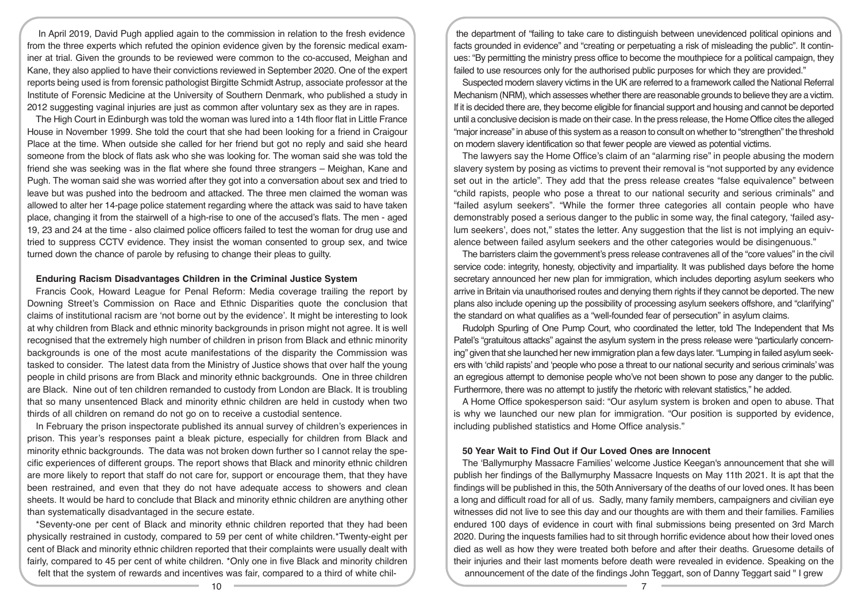In April 2019, David Pugh applied again to the commission in relation to the fresh evidence from the three experts which refuted the opinion evidence given by the forensic medical examiner at trial. Given the grounds to be reviewed were common to the co-accused, Meighan and Kane, they also applied to have their convictions reviewed in September 2020. One of the expert reports being used is from forensic pathologist Birgitte Schmidt Astrup, associate professor at the Institute of Forensic Medicine at the University of Southern Denmark, who published a study in 2012 suggesting vaginal injuries are just as common after voluntary sex as they are in rapes.

The High Court in Edinburgh was told the woman was lured into a 14th floor flat in Little France House in November 1999. She told the court that she had been looking for a friend in Craigour Place at the time. When outside she called for her friend but got no reply and said she heard someone from the block of flats ask who she was looking for. The woman said she was told the friend she was seeking was in the flat where she found three strangers – Meighan, Kane and Pugh. The woman said she was worried after they got into a conversation about sex and tried to leave but was pushed into the bedroom and attacked. The three men claimed the woman was allowed to alter her 14-page police statement regarding where the attack was said to have taken place, changing it from the stairwell of a high-rise to one of the accused's flats. The men - aged 19, 23 and 24 at the time - also claimed police officers failed to test the woman for drug use and tried to suppress CCTV evidence. They insist the woman consented to group sex, and twice turned down the chance of parole by refusing to change their pleas to guilty.

## **Enduring Racism Disadvantages Children in the Criminal Justice System**

Francis Cook, Howard League for Penal Reform: Media coverage trailing the report by Downing Street's Commission on Race and Ethnic Disparities quote the conclusion that claims of institutional racism are 'not borne out by the evidence'. It might be interesting to look at why children from Black and ethnic minority backgrounds in prison might not agree. It is well recognised that the extremely high number of children in prison from Black and ethnic minority backarounds is one of the most acute manifestations of the disparity the Commission was tasked to consider. The latest data from the Ministry of Justice shows that over half the young people in child prisons are from Black and minority ethnic backgrounds. One in three children are Black. Nine out of ten children remanded to custody from London are Black. It is troubling that so many unsentenced Black and minority ethnic children are held in custody when two thirds of all children on remand do not go on to receive a custodial sentence.

In February the prison inspectorate published its annual survey of children's experiences in prison. This year's responses paint a bleak picture, especially for children from Black and minority ethnic backgrounds. The data was not broken down further so I cannot relay the specific experiences of different groups. The report shows that Black and minority ethnic children are more likely to report that staff do not care for, support or encourage them, that they have been restrained, and even that they do not have adequate access to showers and clean sheets. It would be hard to conclude that Black and minority ethnic children are anything other than systematically disadvantaged in the secure estate.

\*Seventy-one per cent of Black and minority ethnic children reported that they had been physically restrained in custody, compared to 59 per cent of white children.\*Twenty-eight per cent of Black and minority ethnic children reported that their complaints were usually dealt with fairly, compared to 45 per cent of white children. \*Only one in five Black and minority children felt that the system of rewards and incentives was fair, compared to a third of white chil-

the department of "failing to take care to distinguish between unevidenced political opinions and facts grounded in evidence" and "creating or perpetuating a risk of misleading the public". It continues: "By permitting the ministry press office to become the mouthpiece for a political campaign, they failed to use resources only for the authorised public purposes for which they are provided."

Suspected modern slavery victims in the UK are referred to a framework called the National Referral Mechanism (NRM), which assesses whether there are reasonable grounds to believe they are a victim. If it is decided there are, they become eligible for financial support and housing and cannot be deported until a conclusive decision is made on their case. In the press release, the Home Office cites the alleged "major increase" in abuse of this system as a reason to consult on whether to "strengthen" the threshold on modern slavery identification so that fewer people are viewed as potential victims.

The lawyers say the Home Office's claim of an "alarming rise" in people abusing the modern slavery system by posing as victims to prevent their removal is "not supported by any evidence set out in the article". They add that the press release creates "false equivalence" between "child rapists, people who pose a threat to our national security and serious criminals" and "failed asylum seekers". "While the former three categories all contain people who have demonstrably posed a serious danger to the public in some way, the final category, 'failed asylum seekers', does not," states the letter. Any suggestion that the list is not implying an equivalence between failed asylum seekers and the other categories would be disingenuous."

The barristers claim the government's press release contravenes all of the "core values" in the civil service code: integrity, honesty, objectivity and impartiality. It was published days before the home secretary announced her new plan for immigration, which includes deporting asylum seekers who arrive in Britain via unauthorised routes and denying them rights if they cannot be deported. The new plans also include opening up the possibility of processing asylum seekers offshore, and "clarifying" the standard on what qualifies as a "well-founded fear of persecution" in asylum claims.

Rudolph Spurling of One Pump Court, who coordinated the letter, told The Independent that Ms Patel's "gratuitous attacks" against the asylum system in the press release were "particularly concerning" given that she launched her new immigration plan a few days later. "Lumping in failed asylum seekers with 'child rapists' and 'people who pose a threat to our national security and serious criminals' was an egregious attempt to demonise people who've not been shown to pose any danger to the public. Furthermore, there was no attempt to justify the rhetoric with relevant statistics," he added.

A Home Office spokesperson said: "Our asylum system is broken and open to abuse. That is why we launched our new plan for immigration. "Our position is supported by evidence, including published statistics and Home Office analysis."

## **50 Year Wait to Find Out if Our Loved Ones are Innocent**

The 'Ballymurphy Massacre Families' welcome Justice Keegan's announcement that she will publish her findings of the Ballymurphy Massacre Inquests on May 11th 2021. It is apt that the findings will be published in this, the 50th Anniversary of the deaths of our loved ones. It has been a long and difficult road for all of us. Sadly, many family members, campaigners and civilian eye witnesses did not live to see this day and our thoughts are with them and their families. Families endured 100 days of evidence in court with final submissions being presented on 3rd March 2020. During the inquests families had to sit through horrific evidence about how their loved ones died as well as how they were treated both before and after their deaths. Gruesome details of their injuries and their last moments before death were revealed in evidence. Speaking on the announcement of the date of the findings John Teggart, son of Danny Teggart said " I grew